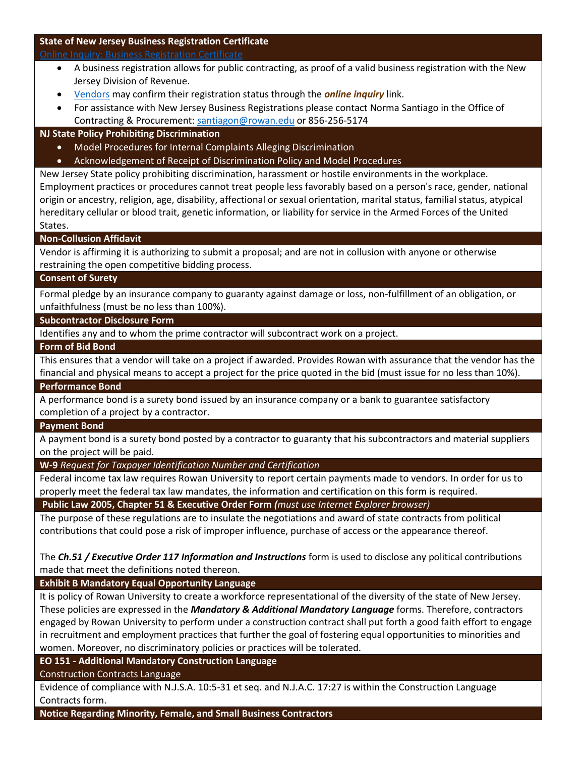## **State of New Jersey Business Registration Certificate**

- A business registration allows for public contracting, as proof of a valid business registration with the New Jersey Division of Revenue.
- [Vendors](http://www.rowan.edu/open/adminfinance/controller/purchasing/bids/documents/test/lol.pdf) may confirm their registration status through the *online inquiry* link.
- For assistance with New Jersey Business Registrations please contact Norma Santiago in the Office of Contracting & Procurement: [santiagon@rowan.edu](mailto:santiagon@rowan.edu) or 856-256-5174

#### **NJ State Policy Prohibiting Discrimination**

- Model Procedures for Internal Complaints Alleging Discrimination
- [Acknowledgement of Receipt of Discrimination Policy and Model Procedures](http://www.rowan.edu/adminfinance/controller/purchasing/forms/documents/NJHarassmentPolicyandProceduresReceipt-2013.pdf)

New Jersey State policy prohibiting discrimination, harassment or hostile environments in the workplace. Employment practices or procedures cannot treat people less favorably based on a person's race, gender, national origin or ancestry, religion, age, disability, affectional or sexual orientation, marital status, familial status, atypical hereditary cellular or blood trait, genetic information, or liability for service in the Armed Forces of the United States.

#### **Non-Collusion Affidavit**

Vendor is affirming it is authorizing to submit a proposal; and are not in collusion with anyone or otherwise restraining the open competitive bidding process.

#### **Consent of Surety**

Formal pledge by an insurance company to guaranty against damage or loss, non-fulfillment of an obligation, or unfaithfulness (must be no less than 100%).

#### **[Subcontractor Disclosure Form](http://www.rowan.edu/adminfinance/controller/purchasing/forms/documents/SubcontractorDisclosureForm-12-2014.pdf)**

Identifies any and to whom the prime contractor will subcontract work on a project.

#### **[Form of Bid Bond](http://www.rowan.edu/adminfinance/controller/purchasing/forms/documents/FormofBidBond.pdf)**

This ensures that a vendor will take on a project if awarded. Provides Rowan with assurance that the vendor has the financial and physical means to accept a project for the price quoted in the bid (must issue for no less than 10%).

#### **[Performance Bond](http://www.rowan.edu/adminfinance/controller/purchasing/forms/documents/PerformanceBond.pdf)**

A performance bond is a surety bond issued by an insurance company or a bank to guarantee satisfactory completion of a project by a contractor.

#### **[Payment Bond](http://www.rowan.edu/adminfinance/controller/purchasing/forms/documents/PaymentBond.pdf)**

A payment bond is a surety bond posted by a contractor to guaranty that his subcontractors and material suppliers on the project will be paid.

**W-9** *[Request for Taxpayer Identification Number and Certification](https://www.irs.gov/pub/irs-pdf/fw9.pdf)*

Federal income tax law requires Rowan University to report certain payments made to vendors. In order for us to properly meet the federal tax law mandates, the information and certification on this form is required.

#### **[Public Law 2005, Chapter 51 & Executive Order Form](http://www.state.nj.us/treasury/purchase/forms/eo134/Chapter51.pdf)** *(must use Internet Explorer browser)*

The purpose of these regulations are to insulate the negotiations and award of state contracts from political contributions that could pose a risk of improper influence, purchase of access or the appearance thereof.

The *Ch.51 / Executive Order 117 Information and Instructions* form is used to disclose any political contributions made that meet the definitions noted thereon.

**[Exhibit B Mandatory Equal Opportunity Language](http://www.rowan.edu/adminfinance/controller/purchasing/forms/documents/ExhibitBMandatoryEEOLanguage-Web.pdf)**

It is policy of Rowan University to create a workforce representational of the diversity of the state of New Jersey. These policies are expressed in the *Mandatory & Additional Mandatory Language* forms. Therefore, contractors engaged by Rowan University to perform under a construction contract shall put forth a good faith effort to engage in recruitment and employment practices that further the goal of fostering equal opportunities to minorities and women. Moreover, no discriminatory policies or practices will be tolerated.

**EO 151 - [Additional Mandatory Construction Language](http://www.rowan.edu/adminfinance/controller/purchasing/forms/documents/EO151AdditionalMandatoryConstructionContractLanguage-Web.pdf)**

[Construction Contracts Language](http://www.rowan.edu/adminfinance/controller/purchasing/forms/documents/ConstructionContractsLanguageBforweb.pdf)

Evidence of compliance with N.J.S.A. 10:5-31 et seq. and N.J.A.C. 17:27 is within the Construction Language Contracts form.

**[Notice Regarding Minority, Female, and Small Business Contractors](http://www.rowan.edu/adminfinance/controller/purchasing/forms/documents/NoticeRegardingMFSBContractors.pdf)**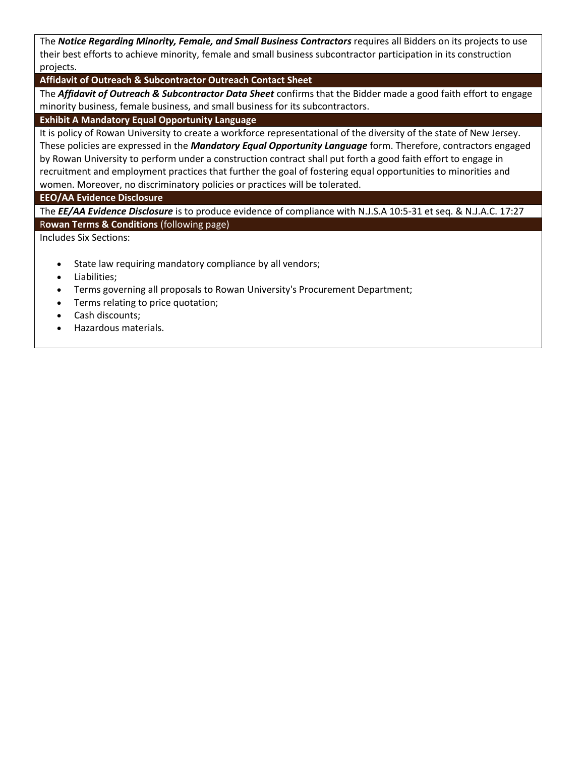The *Notice Regarding Minority, Female, and Small Business Contractors* requires all Bidders on its projects to use their best efforts to achieve minority, female and small business subcontractor participation in its construction projects.

**[Affidavit of Outreach & Subcontractor Outreach Contact Sheet](http://www.rowan.edu/adminfinance/controller/purchasing/forms/documents/AffidavitofOutreach-SubcontractorOutreachContactSheet.pdf)**

The *Affidavit of Outreach & Subcontractor Data Sheet* confirms that the Bidder made a good faith effort to engage minority business, female business, and small business for its subcontractors.

## **[Exhibit A Mandatory Equal Opportunity Language](http://www.rowan.edu/adminfinance/controller/purchasing/forms/documents/ExhibitAMandatoryEEOforGPSandGS-web.pdf)**

It is policy of Rowan University to create a workforce representational of the diversity of the state of New Jersey. These policies are expressed in the *Mandatory Equal Opportunity Language* form. Therefore, contractors engaged by Rowan University to perform under a construction contract shall put forth a good faith effort to engage in recruitment and employment practices that further the goal of fostering equal opportunities to minorities and women. Moreover, no discriminatory policies or practices will be tolerated.

#### **[EEO/AA Evidence Disclosure](http://www.rowan.edu/adminfinance/controller/purchasing/forms/documents/EEOAAEvidenceforGPSGSProjects.pdf)**

The *EE/AA Evidence Disclosure* is to produce evidence of compliance with N.J.S.A 10:5-31 et seq. & N.J.A.C. 17:27 R**[owan Terms & Conditions](http://www.rowan.edu/adminfinance/controller/purchasing/forms/documents/RowanTermsandConditions.pdf)** (following page)

Includes Six Sections:

- State law requiring mandatory compliance by all vendors;
- Liabilities;
- Terms governing all proposals to Rowan University's Procurement Department;
- Terms relating to price quotation;
- Cash discounts;
- Hazardous materials.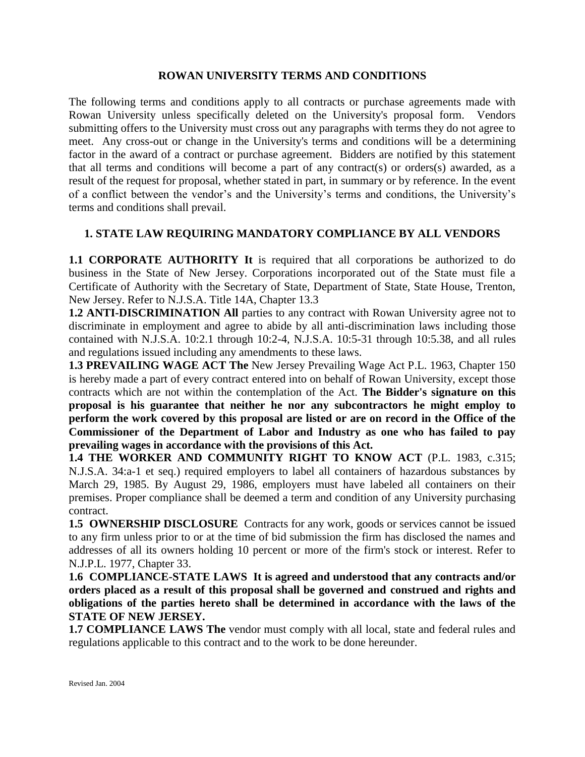## **ROWAN UNIVERSITY TERMS AND CONDITIONS**

The following terms and conditions apply to all contracts or purchase agreements made with Rowan University unless specifically deleted on the University's proposal form. Vendors submitting offers to the University must cross out any paragraphs with terms they do not agree to meet. Any cross-out or change in the University's terms and conditions will be a determining factor in the award of a contract or purchase agreement. Bidders are notified by this statement that all terms and conditions will become a part of any contract(s) or orders(s) awarded, as a result of the request for proposal, whether stated in part, in summary or by reference. In the event of a conflict between the vendor's and the University's terms and conditions, the University's terms and conditions shall prevail.

## **1. STATE LAW REQUIRING MANDATORY COMPLIANCE BY ALL VENDORS**

**1.1 CORPORATE AUTHORITY It** is required that all corporations be authorized to do business in the State of New Jersey. Corporations incorporated out of the State must file a Certificate of Authority with the Secretary of State, Department of State, State House, Trenton, New Jersey. Refer to N.J.S.A. Title 14A, Chapter 13.3

**1.2 ANTI-DISCRIMINATION All** parties to any contract with Rowan University agree not to discriminate in employment and agree to abide by all anti-discrimination laws including those contained with N.J.S.A. 10:2.1 through 10:2-4, N.J.S.A. 10:5-31 through 10:5.38, and all rules and regulations issued including any amendments to these laws.

**1.3 PREVAILING WAGE ACT The** New Jersey Prevailing Wage Act P.L. 1963, Chapter 150 is hereby made a part of every contract entered into on behalf of Rowan University, except those contracts which are not within the contemplation of the Act. **The Bidder's signature on this proposal is his guarantee that neither he nor any subcontractors he might employ to perform the work covered by this proposal are listed or are on record in the Office of the Commissioner of the Department of Labor and Industry as one who has failed to pay prevailing wages in accordance with the provisions of this Act.** 

**1.4 THE WORKER AND COMMUNITY RIGHT TO KNOW ACT** (P.L. 1983, c.315; N.J.S.A. 34:a-1 et seq.) required employers to label all containers of hazardous substances by March 29, 1985. By August 29, 1986, employers must have labeled all containers on their premises. Proper compliance shall be deemed a term and condition of any University purchasing contract.

**1.5 OWNERSHIP DISCLOSURE** Contracts for any work, goods or services cannot be issued to any firm unless prior to or at the time of bid submission the firm has disclosed the names and addresses of all its owners holding 10 percent or more of the firm's stock or interest. Refer to N.J.P.L. 1977, Chapter 33.

**1.6 COMPLIANCE-STATE LAWS It is agreed and understood that any contracts and/or orders placed as a result of this proposal shall be governed and construed and rights and obligations of the parties hereto shall be determined in accordance with the laws of the STATE OF NEW JERSEY.**

**1.7 COMPLIANCE LAWS The** vendor must comply with all local, state and federal rules and regulations applicable to this contract and to the work to be done hereunder.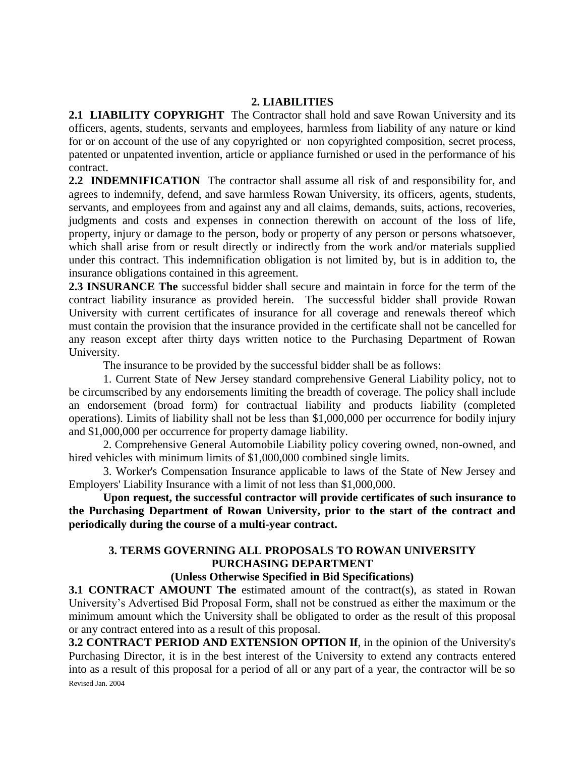## **2. LIABILITIES**

**2.1 LIABILITY COPYRIGHT** The Contractor shall hold and save Rowan University and its officers, agents, students, servants and employees, harmless from liability of any nature or kind for or on account of the use of any copyrighted or non copyrighted composition, secret process, patented or unpatented invention, article or appliance furnished or used in the performance of his contract.

**2.2 INDEMNIFICATION** The contractor shall assume all risk of and responsibility for, and agrees to indemnify, defend, and save harmless Rowan University, its officers, agents, students, servants, and employees from and against any and all claims, demands, suits, actions, recoveries, judgments and costs and expenses in connection therewith on account of the loss of life, property, injury or damage to the person, body or property of any person or persons whatsoever, which shall arise from or result directly or indirectly from the work and/or materials supplied under this contract. This indemnification obligation is not limited by, but is in addition to, the insurance obligations contained in this agreement.

**2.3 INSURANCE The** successful bidder shall secure and maintain in force for the term of the contract liability insurance as provided herein. The successful bidder shall provide Rowan University with current certificates of insurance for all coverage and renewals thereof which must contain the provision that the insurance provided in the certificate shall not be cancelled for any reason except after thirty days written notice to the Purchasing Department of Rowan University.

The insurance to be provided by the successful bidder shall be as follows:

1. Current State of New Jersey standard comprehensive General Liability policy, not to be circumscribed by any endorsements limiting the breadth of coverage. The policy shall include an endorsement (broad form) for contractual liability and products liability (completed operations). Limits of liability shall not be less than \$1,000,000 per occurrence for bodily injury and \$1,000,000 per occurrence for property damage liability.

2. Comprehensive General Automobile Liability policy covering owned, non-owned, and hired vehicles with minimum limits of \$1,000,000 combined single limits.

3. Worker's Compensation Insurance applicable to laws of the State of New Jersey and Employers' Liability Insurance with a limit of not less than \$1,000,000.

**Upon request, the successful contractor will provide certificates of such insurance to the Purchasing Department of Rowan University, prior to the start of the contract and periodically during the course of a multi-year contract.**

# **3. TERMS GOVERNING ALL PROPOSALS TO ROWAN UNIVERSITY PURCHASING DEPARTMENT**

**(Unless Otherwise Specified in Bid Specifications)**

**3.1 CONTRACT AMOUNT The** estimated amount of the contract(s), as stated in Rowan University's Advertised Bid Proposal Form, shall not be construed as either the maximum or the minimum amount which the University shall be obligated to order as the result of this proposal or any contract entered into as a result of this proposal.

Revised Jan. 2004 **3.2 CONTRACT PERIOD AND EXTENSION OPTION If**, in the opinion of the University's Purchasing Director, it is in the best interest of the University to extend any contracts entered into as a result of this proposal for a period of all or any part of a year, the contractor will be so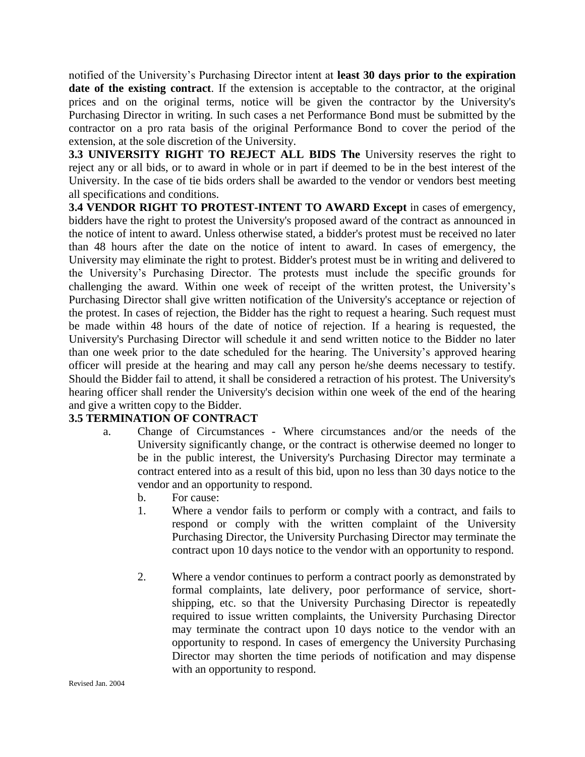notified of the University's Purchasing Director intent at **least 30 days prior to the expiration date of the existing contract**. If the extension is acceptable to the contractor, at the original prices and on the original terms, notice will be given the contractor by the University's Purchasing Director in writing. In such cases a net Performance Bond must be submitted by the contractor on a pro rata basis of the original Performance Bond to cover the period of the extension, at the sole discretion of the University.

**3.3 UNIVERSITY RIGHT TO REJECT ALL BIDS The** University reserves the right to reject any or all bids, or to award in whole or in part if deemed to be in the best interest of the University. In the case of tie bids orders shall be awarded to the vendor or vendors best meeting all specifications and conditions.

**3.4 VENDOR RIGHT TO PROTEST-INTENT TO AWARD Except** in cases of emergency, bidders have the right to protest the University's proposed award of the contract as announced in the notice of intent to award. Unless otherwise stated, a bidder's protest must be received no later than 48 hours after the date on the notice of intent to award. In cases of emergency, the University may eliminate the right to protest. Bidder's protest must be in writing and delivered to the University's Purchasing Director. The protests must include the specific grounds for challenging the award. Within one week of receipt of the written protest, the University's Purchasing Director shall give written notification of the University's acceptance or rejection of the protest. In cases of rejection, the Bidder has the right to request a hearing. Such request must be made within 48 hours of the date of notice of rejection. If a hearing is requested, the University's Purchasing Director will schedule it and send written notice to the Bidder no later than one week prior to the date scheduled for the hearing. The University's approved hearing officer will preside at the hearing and may call any person he/she deems necessary to testify. Should the Bidder fail to attend, it shall be considered a retraction of his protest. The University's hearing officer shall render the University's decision within one week of the end of the hearing and give a written copy to the Bidder.

## **3.5 TERMINATION OF CONTRACT**

- a. Change of Circumstances Where circumstances and/or the needs of the University significantly change, or the contract is otherwise deemed no longer to be in the public interest, the University's Purchasing Director may terminate a contract entered into as a result of this bid, upon no less than 30 days notice to the vendor and an opportunity to respond.
	- b. For cause:
	- 1. Where a vendor fails to perform or comply with a contract, and fails to respond or comply with the written complaint of the University Purchasing Director, the University Purchasing Director may terminate the contract upon 10 days notice to the vendor with an opportunity to respond.
	- 2. Where a vendor continues to perform a contract poorly as demonstrated by formal complaints, late delivery, poor performance of service, shortshipping, etc. so that the University Purchasing Director is repeatedly required to issue written complaints, the University Purchasing Director may terminate the contract upon 10 days notice to the vendor with an opportunity to respond. In cases of emergency the University Purchasing Director may shorten the time periods of notification and may dispense with an opportunity to respond.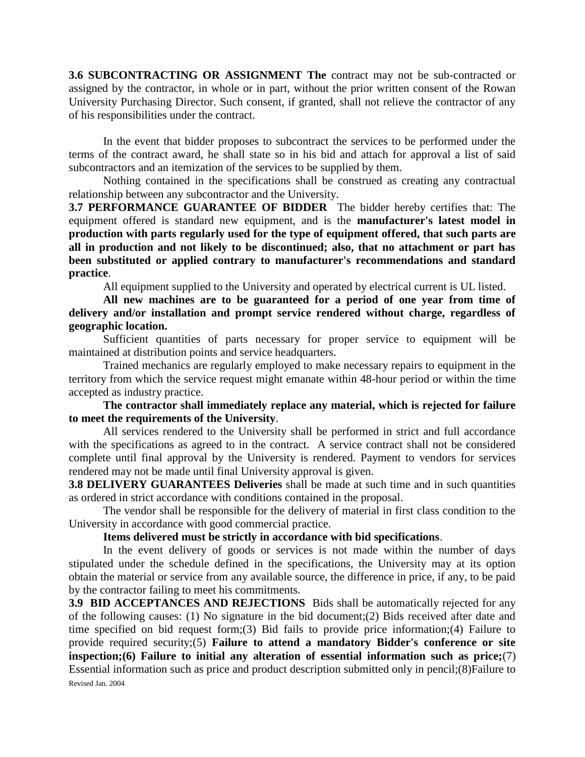**3.6 SUBCONTRACTING OR ASSIGNMENT The** contract may not be sub-contracted or assigned by the contractor, in whole or in part, without the prior written consent of the Rowan University Purchasing Director. Such consent, if granted, shall not relieve the contractor of any of his responsibilities under the contract.

In the event that bidder proposes to subcontract the services to be performed under the terms of the contract award, he shall state so in his bid and attach for approval a list of said subcontractors and an itemization of the services to be supplied by them.

Nothing contained in the specifications shall be construed as creating any contractual relationship between any subcontractor and the University.

**3.7 PERFORMANCE GUARANTEE OF BIDDER** The bidder hereby certifies that: The equipment offered is standard new equipment, and is the **manufacturer's latest model in production with parts regularly used for the type of equipment offered, that such parts are all in production and not likely to be discontinued; also, that no attachment or part has been substituted or applied contrary to manufacturer's recommendations and standard practice**.

All equipment supplied to the University and operated by electrical current is UL listed.

**All new machines are to be guaranteed for a period of one year from time of delivery and/or installation and prompt service rendered without charge, regardless of geographic location.**

Sufficient quantities of parts necessary for proper service to equipment will be maintained at distribution points and service headquarters.

Trained mechanics are regularly employed to make necessary repairs to equipment in the territory from which the service request might emanate within 48-hour period or within the time accepted as industry practice.

**The contractor shall immediately replace any material, which is rejected for failure to meet the requirements of the University**.

All services rendered to the University shall be performed in strict and full accordance with the specifications as agreed to in the contract. A service contract shall not be considered complete until final approval by the University is rendered. Payment to vendors for services rendered may not be made until final University approval is given.

**3.8 DELIVERY GUARANTEES Deliveries** shall be made at such time and in such quantities as ordered in strict accordance with conditions contained in the proposal.

The vendor shall be responsible for the delivery of material in first class condition to the University in accordance with good commercial practice.

## **Items delivered must be strictly in accordance with bid specifications**.

In the event delivery of goods or services is not made within the number of days stipulated under the schedule defined in the specifications, the University may at its option obtain the material or service from any available source, the difference in price, if any, to be paid by the contractor failing to meet his commitments.

Revised Jan. 2004 **3.9 BID ACCEPTANCES AND REJECTIONS** Bids shall be automatically rejected for any of the following causes: (1) No signature in the bid document;(2) Bids received after date and time specified on bid request form;(3) Bid fails to provide price information;(4) Failure to provide required security;(5) **Failure to attend a mandatory Bidder's conference or site inspection;(6) Failure to initial any alteration of essential information such as price;**(7) Essential information such as price and product description submitted only in pencil;(8)Failure to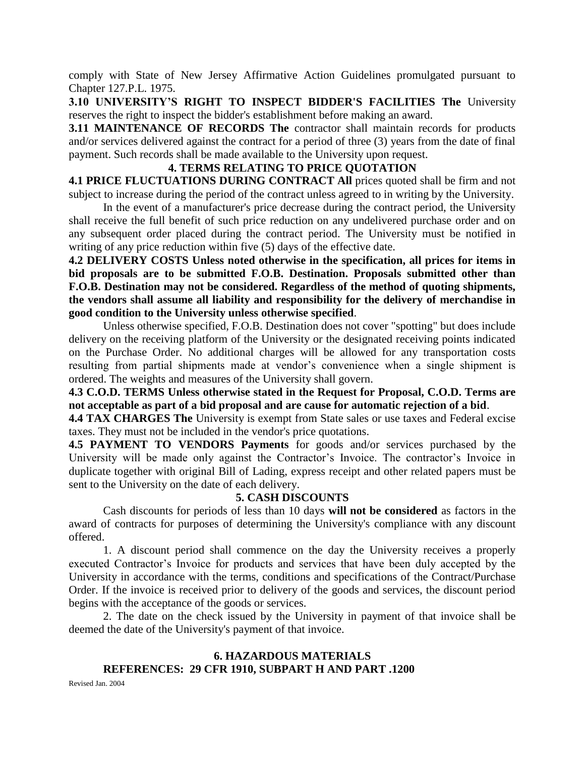comply with State of New Jersey Affirmative Action Guidelines promulgated pursuant to Chapter 127.P.L. 1975.

**3.10 UNIVERSITY'S RIGHT TO INSPECT BIDDER'S FACILITIES The** University reserves the right to inspect the bidder's establishment before making an award.

**3.11 MAINTENANCE OF RECORDS The** contractor shall maintain records for products and/or services delivered against the contract for a period of three (3) years from the date of final payment. Such records shall be made available to the University upon request.

## **4. TERMS RELATING TO PRICE QUOTATION**

**4.1 PRICE FLUCTUATIONS DURING CONTRACT All** prices quoted shall be firm and not subject to increase during the period of the contract unless agreed to in writing by the University.

In the event of a manufacturer's price decrease during the contract period, the University shall receive the full benefit of such price reduction on any undelivered purchase order and on any subsequent order placed during the contract period. The University must be notified in writing of any price reduction within five (5) days of the effective date.

**4.2 DELIVERY COSTS Unless noted otherwise in the specification, all prices for items in bid proposals are to be submitted F.O.B. Destination. Proposals submitted other than F.O.B. Destination may not be considered. Regardless of the method of quoting shipments, the vendors shall assume all liability and responsibility for the delivery of merchandise in good condition to the University unless otherwise specified**.

Unless otherwise specified, F.O.B. Destination does not cover "spotting" but does include delivery on the receiving platform of the University or the designated receiving points indicated on the Purchase Order. No additional charges will be allowed for any transportation costs resulting from partial shipments made at vendor's convenience when a single shipment is ordered. The weights and measures of the University shall govern.

**4.3 C.O.D. TERMS Unless otherwise stated in the Request for Proposal, C.O.D. Terms are not acceptable as part of a bid proposal and are cause for automatic rejection of a bid**.

**4.4 TAX CHARGES The** University is exempt from State sales or use taxes and Federal excise taxes. They must not be included in the vendor's price quotations.

**4.5 PAYMENT TO VENDORS Payments** for goods and/or services purchased by the University will be made only against the Contractor's Invoice. The contractor's Invoice in duplicate together with original Bill of Lading, express receipt and other related papers must be sent to the University on the date of each delivery.

## **5. CASH DISCOUNTS**

Cash discounts for periods of less than 10 days **will not be considered** as factors in the award of contracts for purposes of determining the University's compliance with any discount offered.

1. A discount period shall commence on the day the University receives a properly executed Contractor's Invoice for products and services that have been duly accepted by the University in accordance with the terms, conditions and specifications of the Contract/Purchase Order. If the invoice is received prior to delivery of the goods and services, the discount period begins with the acceptance of the goods or services.

2. The date on the check issued by the University in payment of that invoice shall be deemed the date of the University's payment of that invoice.

## **6. HAZARDOUS MATERIALS REFERENCES: 29 CFR 1910, SUBPART H AND PART .1200**

Revised Jan. 2004